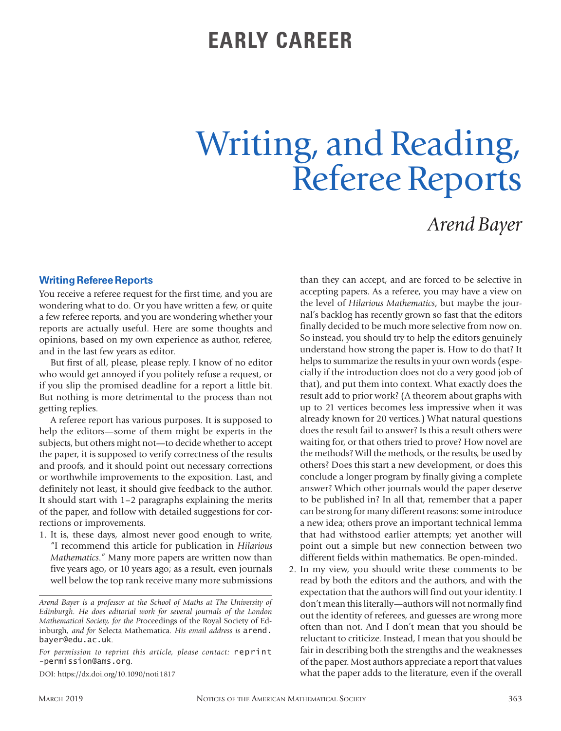## **EARLY CAREER**

# Writing, and Reading, Referee Reports

## *Arend Bayer*

#### **Writing Referee Reports**

You receive a referee request for the first time, and you are wondering what to do. Or you have written a few, or quite a few referee reports, and you are wondering whether your reports are actually useful. Here are some thoughts and opinions, based on my own experience as author, referee, and in the last few years as editor.

But first of all, please, please reply. I know of no editor who would get annoyed if you politely refuse a request, or if you slip the promised deadline for a report a little bit. But nothing is more detrimental to the process than not getting replies.

A referee report has various purposes. It is supposed to help the editors—some of them might be experts in the subjects, but others might not—to decide whether to accept the paper, it is supposed to verify correctness of the results and proofs, and it should point out necessary corrections or worthwhile improvements to the exposition. Last, and definitely not least, it should give feedback to the author. It should start with 1–2 paragraphs explaining the merits of the paper, and follow with detailed suggestions for corrections or improvements.

1. It is, these days, almost never good enough to write, "I recommend this article for publication in *Hilarious Mathematics*." Many more papers are written now than five years ago, or 10 years ago; as a result, even journals well below the top rank receive many more submissions

DOI: https://dx.doi.org/10.1090/noti1817

than they can accept, and are forced to be selective in accepting papers. As a referee, you may have a view on the level of *Hilarious Mathematics*, but maybe the journal's backlog has recently grown so fast that the editors finally decided to be much more selective from now on. So instead, you should try to help the editors genuinely understand how strong the paper is. How to do that? It helps to summarize the results in your own words (especially if the introduction does not do a very good job of that), and put them into context. What exactly does the result add to prior work? (A theorem about graphs with up to 21 vertices becomes less impressive when it was already known for 20 vertices.) What natural questions does the result fail to answer? Is this a result others were waiting for, or that others tried to prove? How novel are the methods? Will the methods, or the results, be used by others? Does this start a new development, or does this conclude a longer program by finally giving a complete answer? Which other journals would the paper deserve to be published in? In all that, remember that a paper can be strong for many different reasons: some introduce a new idea; others prove an important technical lemma that had withstood earlier attempts; yet another will point out a simple but new connection between two different fields within mathematics. Be open-minded.

2. In my view, you should write these comments to be read by both the editors and the authors, and with the expectation that the authors will find out your identity. I don't mean this literally—authors will not normally find out the identity of referees, and guesses are wrong more often than not. And I don't mean that you should be reluctant to criticize. Instead, I mean that you should be fair in describing both the strengths and the weaknesses of the paper. Most authors appreciate a report that values what the paper adds to the literature, even if the overall

*Arend Bayer is a professor at the School of Maths at The University of Edinburgh. He does editorial work for several journals of the London Mathematical Society, for the P*roceedings of the Royal Society of Edinburgh*, and for* Selecta Mathematica*. His email address is* arend. bayer@edu.ac.uk*.*

*For permission to reprint this article, please contact:* reprint -permission@ams.org.